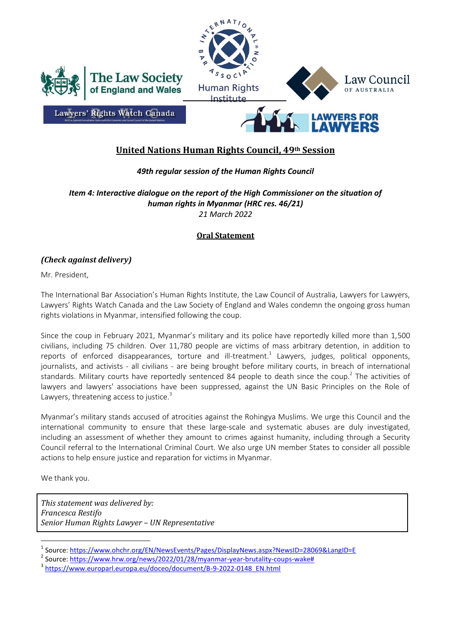

## **United Nations Human Rights Council, 49th Session**

## *49th regular session of the Human Rights Council*

*Item 4: Interactive dialogue on the report of the High Commissioner on the situation of human rights in Myanmar (HRC res. 46/21) 21 March 2022*

## **Oral Statement**

## *(Check against delivery)*

Mr. President,

The International Bar Association's Human Rights Institute, the Law Council of Australia, Lawyers for Lawyers, Lawyers' Rights Watch Canada and the Law Society of England and Wales condemn the ongoing gross human rights violations in Myanmar, intensified following the coup.

Since the coup in February 2021, Myanmar's military and its police have reportedly killed more than 1,500 civilians, including 75 children. Over 11,780 people are victims of mass arbitrary detention, in addition to reports of enforced disappearances, torture and ill-treatment.<sup>1</sup> Lawyers, judges, political opponents, journalists, and activists - all civilians - are being brought before military courts, in breach of international standards. Military courts have reportedly sentenced 84 people to death since the coup.<sup>2</sup> The activities of lawyers and lawyers' associations have been suppressed, against the UN Basic Principles on the Role of Lawyers, threatening access to justice. $3$ 

Myanmar's military stands accused of atrocities against the Rohingya Muslims. We urge this Council and the international community to ensure that these large-scale and systematic abuses are duly investigated, including an assessment of whether they amount to crimes against humanity, including through a Security Council referral to the International Criminal Court. We also urge UN member States to consider all possible actions to help ensure justice and reparation for victims in Myanmar.

We thank you.

 $\overline{a}$ 

*This statement was delivered by: Francesca Restifo Senior Human Rights Lawyer – UN Representative*

<sup>1</sup> Source:<https://www.ohchr.org/EN/NewsEvents/Pages/DisplayNews.aspx?NewsID=28069&LangID=E>

<sup>&</sup>lt;sup>2</sup> Source: <u>https://www.hrw.org/news/2022/01/28/myanmar-year-brutality-coups-wake#</u>

<sup>&</sup>lt;sup>3</sup> [https://www.europarl.europa.eu/doceo/document/B-9-2022-0148\\_EN.html](https://www.europarl.europa.eu/doceo/document/B-9-2022-0148_EN.html)